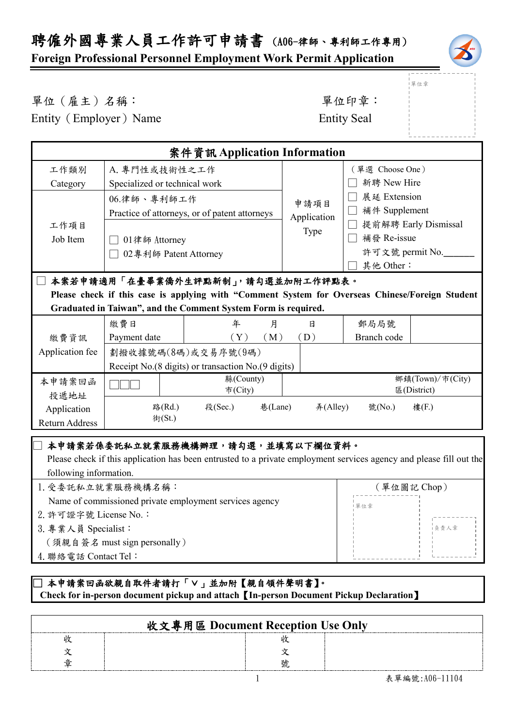## **Foreign Professional Personnel Employment Work Permit Application**



單位章

單位(雇主)名稱: 第六章: 李仁平 李 雷位印章:

Entity (Employer) Name Entity Seal

| 案件資訊 Application Information                                                                                                                                                                           |                                                                                                        |                      |          |                                |                                                                              |                                 |
|--------------------------------------------------------------------------------------------------------------------------------------------------------------------------------------------------------|--------------------------------------------------------------------------------------------------------|----------------------|----------|--------------------------------|------------------------------------------------------------------------------|---------------------------------|
| 工作類別<br>Category                                                                                                                                                                                       | A. 專門性或技術性之工作<br>Specialized or technical work                                                         |                      |          | (單選 Choose One)<br>新聘 New Hire |                                                                              |                                 |
| 工作項目<br>Job Item                                                                                                                                                                                       | 06.律師、專利師工作<br>Practice of attorneys, or of patent attorneys<br>01律師 Attorney<br>02專利師 Patent Attorney |                      |          | 申請項目<br>Application<br>Type    | 展延 Extension<br>補件 Supplement<br>補發 Re-issue<br>許可文號 permit No.<br>其他 Other: | 提前解聘 Early Dismissal            |
| 本案若申請適用「在臺畢業僑外生評點新制」,請勾選並加附工作評點表。<br>Please check if this case is applying with "Comment System for Overseas Chinese/Foreign Student<br>Graduated in Taiwan", and the Comment System Form is required. |                                                                                                        |                      |          |                                |                                                                              |                                 |
| 繳費資訊                                                                                                                                                                                                   | 繳費日<br>Payment date                                                                                    | 年<br>(Y)             | 月<br>(M) | 日<br>(D)                       | 郵局局號<br>Branch code                                                          |                                 |
| Application fee                                                                                                                                                                                        | 劃撥收據號碼(8碼)或交易序號(9碼)<br>Receipt No.(8 digits) or transaction No.(9 digits)                              |                      |          |                                |                                                                              |                                 |
| 本申請案回函<br>投遞地址                                                                                                                                                                                         |                                                                                                        | 縣(County)<br>市(City) |          |                                |                                                                              | 鄉鎮(Town)/市(City)<br>區(District) |
| Application<br>Return Address                                                                                                                                                                          | 路(Rd.)<br>街(St.)                                                                                       | 段(Sec.)              | 巷(Lane)  | #(Alley)                       | 號(No.)                                                                       | 樓(F.)                           |
| 本申請案若係委託私立就業服務機構辦理,請勾選,並填寫以下欄位資料。<br>Please check if this application has been entrusted to a private employment services agency and please fill out the                                               |                                                                                                        |                      |          |                                |                                                                              |                                 |

| following information.                                  |             |
|---------------------------------------------------------|-------------|
| 1. 受委託私立就業服務機構名稱:                                       | (單位圖記 Chop) |
| Name of commissioned private employment services agency | 單位章         |
| 2. 許可證字號 License No.:                                   |             |
| 3. 專業人員 Specialist:                                     | 1負青人章       |
| [須親自簽名 must sign personally)                            |             |
|                                                         |             |

4.聯絡電話 Contact Tel: —<br>—

## □ 本申請案回函欲親自取件者請打「∨」並加附【親自領件聲明書】。  **Check for in-person document pickup and attach**【**In-person Document Pickup Declaration**】

| 收文專用區 Document Reception Use Only |  |
|-----------------------------------|--|
|                                   |  |
|                                   |  |
|                                   |  |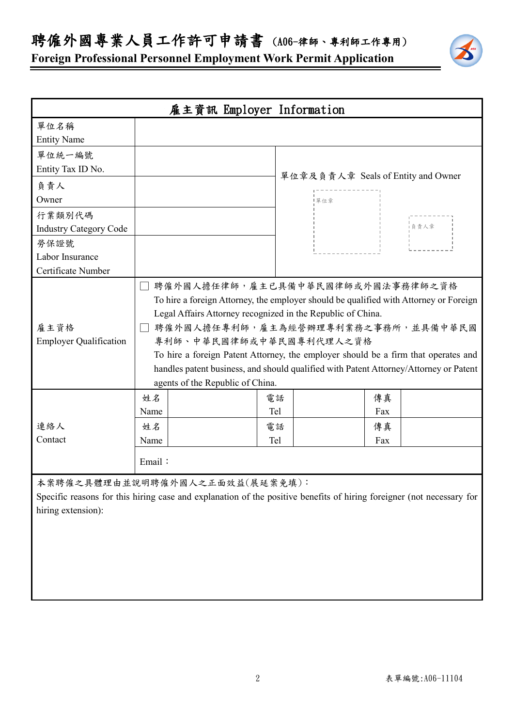聘僱外國專業人員工作許可申請書 (A06-律師、專利師工作專用)

**Foreign Professional Personnel Employment Work Permit Application**

| 雇主資訊 Employer Information                            |                                                                                                                                                                                                                                                                                                                                                                                                                                                                                   |  |            |                                    |                                                                                                                       |
|------------------------------------------------------|-----------------------------------------------------------------------------------------------------------------------------------------------------------------------------------------------------------------------------------------------------------------------------------------------------------------------------------------------------------------------------------------------------------------------------------------------------------------------------------|--|------------|------------------------------------|-----------------------------------------------------------------------------------------------------------------------|
| 單位名稱                                                 |                                                                                                                                                                                                                                                                                                                                                                                                                                                                                   |  |            |                                    |                                                                                                                       |
| <b>Entity Name</b>                                   |                                                                                                                                                                                                                                                                                                                                                                                                                                                                                   |  |            |                                    |                                                                                                                       |
| 單位統一編號                                               |                                                                                                                                                                                                                                                                                                                                                                                                                                                                                   |  |            |                                    |                                                                                                                       |
| Entity Tax ID No.                                    |                                                                                                                                                                                                                                                                                                                                                                                                                                                                                   |  |            | 單位章及負責人章 Seals of Entity and Owner |                                                                                                                       |
| 負責人                                                  |                                                                                                                                                                                                                                                                                                                                                                                                                                                                                   |  |            |                                    |                                                                                                                       |
| Owner                                                |                                                                                                                                                                                                                                                                                                                                                                                                                                                                                   |  |            | 單位章                                |                                                                                                                       |
| 行業類別代碼                                               |                                                                                                                                                                                                                                                                                                                                                                                                                                                                                   |  |            |                                    |                                                                                                                       |
| <b>Industry Category Code</b>                        |                                                                                                                                                                                                                                                                                                                                                                                                                                                                                   |  |            |                                    | -<br>- 負責人章                                                                                                           |
| 勞保證號                                                 |                                                                                                                                                                                                                                                                                                                                                                                                                                                                                   |  |            |                                    |                                                                                                                       |
| Labor Insurance                                      |                                                                                                                                                                                                                                                                                                                                                                                                                                                                                   |  |            |                                    |                                                                                                                       |
| Certificate Number                                   |                                                                                                                                                                                                                                                                                                                                                                                                                                                                                   |  |            |                                    |                                                                                                                       |
| 雇主資格<br><b>Employer Qualification</b>                | 聘僱外國人擔任律師,雇主已具備中華民國律師或外國法事務律師之資格<br>H<br>To hire a foreign Attorney, the employer should be qualified with Attorney or Foreign<br>Legal Affairs Attorney recognized in the Republic of China.<br>聘僱外國人擔任專利師,雇主為經營辦理專利業務之事務所,並具備中華民國<br>專利師、中華民國律師或中華民國專利代理人之資格<br>To hire a foreign Patent Attorney, the employer should be a firm that operates and<br>handles patent business, and should qualified with Patent Attorney/Attorney or Patent<br>agents of the Republic of China. |  |            |                                    |                                                                                                                       |
|                                                      | 姓名                                                                                                                                                                                                                                                                                                                                                                                                                                                                                |  | 電話         |                                    | 傳真                                                                                                                    |
|                                                      | Name                                                                                                                                                                                                                                                                                                                                                                                                                                                                              |  | Tel        |                                    | Fax                                                                                                                   |
| 連絡人                                                  | 姓名                                                                                                                                                                                                                                                                                                                                                                                                                                                                                |  | 電話         |                                    | 傳真                                                                                                                    |
| Contact                                              | Name                                                                                                                                                                                                                                                                                                                                                                                                                                                                              |  | <b>Tel</b> |                                    | Fax                                                                                                                   |
|                                                      | Email:                                                                                                                                                                                                                                                                                                                                                                                                                                                                            |  |            |                                    |                                                                                                                       |
| 本案聘僱之具體理由並說明聘僱外國人之正面效益(展延案免填):<br>hiring extension): |                                                                                                                                                                                                                                                                                                                                                                                                                                                                                   |  |            |                                    | Specific reasons for this hiring case and explanation of the positive benefits of hiring foreigner (not necessary for |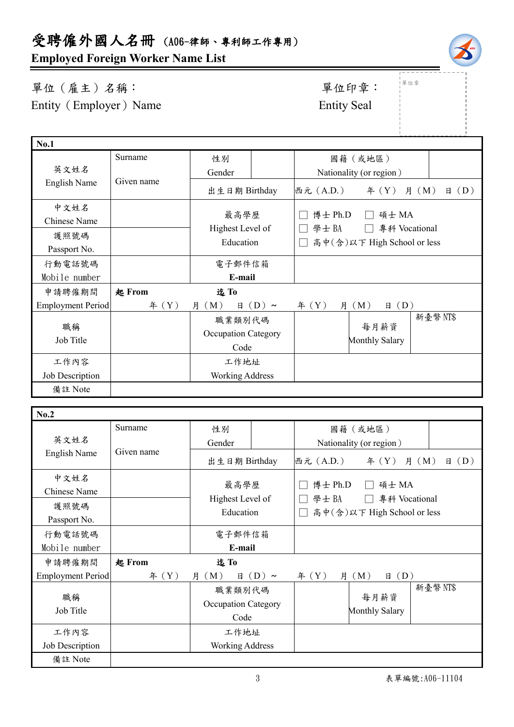**Employed Foreign Worker Name List**

Surname

單位(雇主)名稱: 第四章: 李位印章: 第一 Entity (Employer) Name Entity Seal

**No.1**

單位章

|                          | Surname       | 性別                                           |                  |                                                      | 國籍(或地區)                 |                         |
|--------------------------|---------------|----------------------------------------------|------------------|------------------------------------------------------|-------------------------|-------------------------|
| 英文姓名                     |               | Gender                                       |                  |                                                      | Nationality (or region) |                         |
| English Name             | Given name    | 出生日期 Birthday                                |                  | 西元 (A.D.)                                            | f(X)                    | $\boxplus$ (D)<br>月 (M) |
| 中文姓名<br>Chinese Name     |               | 最高學歷                                         |                  | 博士 Ph.D                                              | 碩士 MA                   |                         |
| 護照號碼<br>Passport No.     |               | Highest Level of<br>Education                |                  | 學士BA<br>專科 Vocational<br>高中(含)以下 High School or less |                         |                         |
| 行動電話號碼                   |               | 電子郵件信箱                                       |                  |                                                      |                         |                         |
| Mobile number            |               | E-mail                                       |                  |                                                      |                         |                         |
| 申請聘僱期間                   | <b>起 From</b> | 迄To                                          |                  |                                                      |                         |                         |
| <b>Employment Period</b> | # (Y)         | 月 (M)                                        | $\boxplus$ (D) ~ | 年 $(Y)$<br>月                                         | (M)<br>$\boxplus$ (D)   |                         |
| 職稱<br>Job Title          |               | 職業類別代碼<br><b>Occupation Category</b><br>Code |                  |                                                      | 每月薪資<br>Monthly Salary  | 新臺幣 NT\$                |
| 工作內容                     |               | 工作地址                                         |                  |                                                      |                         |                         |
| Job Description          |               | <b>Working Address</b>                       |                  |                                                      |                         |                         |
| 備註 Note                  |               |                                              |                  |                                                      |                         |                         |
|                          |               |                                              |                  |                                                      |                         |                         |

| No.2                     |            |                                    |            |                             |                     |                         |  |
|--------------------------|------------|------------------------------------|------------|-----------------------------|---------------------|-------------------------|--|
|                          | Surname    | 性別                                 |            |                             | 國籍(或地區)             |                         |  |
| 英文姓名                     | Given name | Gender                             |            | Nationality (or region)     |                     |                         |  |
| English Name             |            | 出生日期 Birthday                      |            | 西元 (A.D.)                   | 年 $(Y)$             | $\boxplus$ (D)<br>月 (M) |  |
| 中文姓名                     |            | 最高學歷                               |            |                             |                     |                         |  |
| Chinese Name             |            |                                    |            |                             | 博士 Ph.D<br>碩士 MA    |                         |  |
| 護照號碼                     |            | Highest Level of                   |            | 學士BA<br>專科 Vocational       |                     |                         |  |
| Passport No.             |            | Education                          |            | 高中(含)以下 High School or less |                     |                         |  |
| 行動電話號碼                   |            | 電子郵件信箱                             |            |                             |                     |                         |  |
| Mobile number            |            | E-mail                             |            |                             |                     |                         |  |
| 申請聘僱期間                   | 起 From     | 迄To                                |            |                             |                     |                         |  |
| <b>Employment Period</b> | # (Y)      | 月 (M)<br>日                         | $(D) \sim$ | f(X)                        | (D)<br>月 $(M)$<br>日 |                         |  |
| 職稱<br>Job Title          |            | 職業類別代碼                             |            |                             | 每月薪資                | 新臺幣 NT\$                |  |
|                          |            | <b>Occupation Category</b><br>Code |            |                             |                     |                         |  |
|                          |            |                                    |            | <b>Monthly Salary</b>       |                     |                         |  |
| 工作內容                     |            | 工作地址                               |            |                             |                     |                         |  |
| Job Description          |            | <b>Working Address</b>             |            |                             |                     |                         |  |
| 備註 Note                  |            |                                    |            |                             |                     |                         |  |



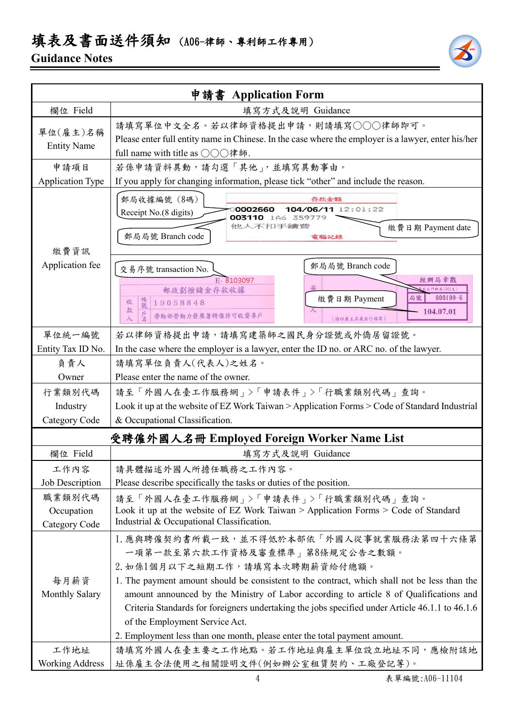## 填表及書面送件須知 (A06-律師、專利師工作專用)

## **Guidance Notes**



|                         | 申請書 Application Form                                                                                |  |  |  |
|-------------------------|-----------------------------------------------------------------------------------------------------|--|--|--|
| 欄位 Field                | 填寫方式及說明 Guidance                                                                                    |  |  |  |
|                         | 請填寫單位中文全名。若以律師資格提出申請,則請填寫○○○律師即可。                                                                   |  |  |  |
| 單位(雇主)名稱                | Please enter full entity name in Chinese. In the case where the employer is a lawyer, enter his/her |  |  |  |
| <b>Entity Name</b>      | full name with title as ○○○律師.                                                                      |  |  |  |
| 申請項目                    | 若係申請資料異動,請勾選「其他」,並填寫異動事由。                                                                           |  |  |  |
| <b>Application Type</b> | If you apply for changing information, please tick "other" and include the reason.                  |  |  |  |
|                         | 郵局收據編號 (8碼)<br>存款金額                                                                                 |  |  |  |
|                         | 104/06/11 12:01:22<br>0002660<br>Receipt No.(8 digits)                                              |  |  |  |
|                         | 003110<br>1A6 359779<br>他人不扣手續讀<br>繳費日期 Payment date                                                |  |  |  |
|                         | 郵局局號 Branch code<br>電腦記錄                                                                            |  |  |  |
| 繳費資訊                    |                                                                                                     |  |  |  |
| Application fee         | 郵局局號 Branch code<br>交易序號 transaction No.                                                            |  |  |  |
|                         | E-8103097<br>經辦局章戳                                                                                  |  |  |  |
|                         | 北門郵局(901支)<br>郵政劃撥儲金存款收據<br>$000100 - 6$<br>局號<br>繳費日期 Payment<br>收<br>19058848                     |  |  |  |
|                         | 帳號<br>款<br>104.07.01<br>勞動部勞動力發展署聘僱許可收費專戶                                                           |  |  |  |
|                         | 人<br>(請以雇主名義自行填寫)                                                                                   |  |  |  |
| 單位統一編號                  | 若以律師資格提出申請,請填寫建築師之國民身分證號或外僑居留證號。                                                                    |  |  |  |
| Entity Tax ID No.       | In the case where the employer is a lawyer, enter the ID no. or ARC no. of the lawyer.              |  |  |  |
| 負責人                     | 請填寫單位負責人(代表人)之姓名。                                                                                   |  |  |  |
| Owner                   | Please enter the name of the owner.                                                                 |  |  |  |
| 行業類別代碼                  | 請至「外國人在臺工作服務網」>「申請表件」>「行職業類別代碼」查詢。                                                                  |  |  |  |
| Industry                | Look it up at the website of EZ Work Taiwan > Application Forms > Code of Standard Industrial       |  |  |  |
| Category Code           | & Occupational Classification.                                                                      |  |  |  |
|                         | 受聘僱外國人名冊 Employed Foreign Worker Name List                                                          |  |  |  |
| 欄位 Field                | 填寫方式及說明 Guidance                                                                                    |  |  |  |
| 工作內容                    | 請具體描述外國人所擔任職務之工作內容。                                                                                 |  |  |  |
| Job Description         | Please describe specifically the tasks or duties of the position.                                   |  |  |  |
| 職業類別代碼                  | 請至「外國人在臺工作服務網」>「申請表件」>「行職業類別代碼」查詢。                                                                  |  |  |  |
| Occupation              | Look it up at the website of EZ Work Taiwan > Application Forms > Code of Standard                  |  |  |  |
| Category Code           | Industrial & Occupational Classification.                                                           |  |  |  |
|                         | 1. 應與聘僱契約書所載一致,並不得低於本部依「外國人從事就業服務法第四十六條第                                                            |  |  |  |
|                         | 一項第一款至第六款工作資格及審查標準   第8條規定公告之數額。                                                                    |  |  |  |
|                         | 2. 如係1個月以下之短期工作,請填寫本次聘期薪資給付總額。                                                                      |  |  |  |
| 每月薪資                    | 1. The payment amount should be consistent to the contract, which shall not be less than the        |  |  |  |
| <b>Monthly Salary</b>   | amount announced by the Ministry of Labor according to article 8 of Qualifications and              |  |  |  |
|                         | Criteria Standards for foreigners undertaking the jobs specified under Article 46.1.1 to 46.1.6     |  |  |  |
|                         | of the Employment Service Act.                                                                      |  |  |  |
|                         | 2. Employment less than one month, please enter the total payment amount.                           |  |  |  |
| 工作地址                    | 請填寫外國人在臺主要之工作地點。若工作地址與雇主單位設立地址不同,應檢附該地                                                              |  |  |  |
| <b>Working Address</b>  | 址係雇主合法使用之相關證明文件(例如辦公室租賃契約、工廠登記等)。                                                                   |  |  |  |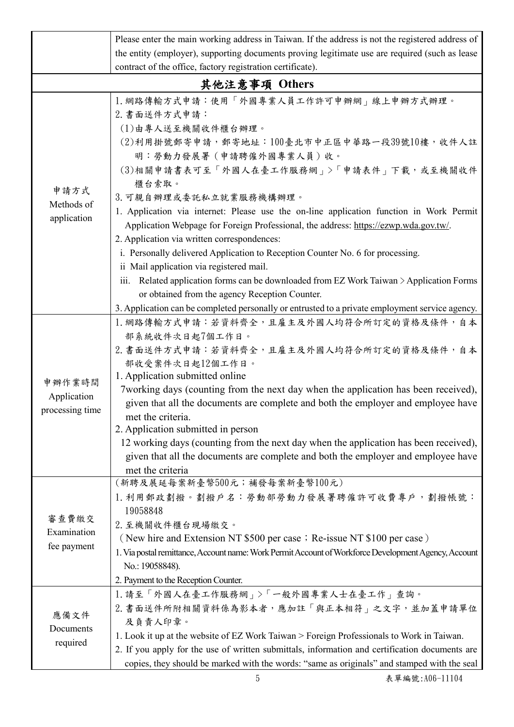|                                                            | Please enter the main working address in Taiwan. If the address is not the registered address of                                                                                                                                                                                                                                                                                                                                                                                                                                                                                                                                                                                                   |  |  |  |  |  |
|------------------------------------------------------------|----------------------------------------------------------------------------------------------------------------------------------------------------------------------------------------------------------------------------------------------------------------------------------------------------------------------------------------------------------------------------------------------------------------------------------------------------------------------------------------------------------------------------------------------------------------------------------------------------------------------------------------------------------------------------------------------------|--|--|--|--|--|
|                                                            | the entity (employer), supporting documents proving legitimate use are required (such as lease                                                                                                                                                                                                                                                                                                                                                                                                                                                                                                                                                                                                     |  |  |  |  |  |
|                                                            |                                                                                                                                                                                                                                                                                                                                                                                                                                                                                                                                                                                                                                                                                                    |  |  |  |  |  |
| contract of the office, factory registration certificate). |                                                                                                                                                                                                                                                                                                                                                                                                                                                                                                                                                                                                                                                                                                    |  |  |  |  |  |
|                                                            | 其他注意事項 Others                                                                                                                                                                                                                                                                                                                                                                                                                                                                                                                                                                                                                                                                                      |  |  |  |  |  |
| 申請方式<br>Methods of<br>application                          | 1. 網路傳輸方式申請:使用「外國專業人員工作許可申辦網」線上申辦方式辦理。<br>2. 書面送件方式申請:<br>(1)由專人送至機關收件櫃台辦理。<br>(2)利用掛號郵寄申請,郵寄地址:100臺北市中正區中華路一段39號10樓,收件人註<br>明:勞動力發展署(申請聘僱外國專業人員)收。<br>(3)相關申請書表可至「外國人在臺工作服務網」>「申請表件」下載,或至機關收件<br>櫃台索取。<br>3. 可親自辦理或委託私立就業服務機構辦理。<br>1. Application via internet: Please use the on-line application function in Work Permit<br>Application Webpage for Foreign Professional, the address: https://ezwp.wda.gov.tw/.<br>2. Application via written correspondences:<br>i. Personally delivered Application to Reception Counter No. 6 for processing.<br>ii Mail application via registered mail.<br>iii. Related application forms can be downloaded from EZ Work Taiwan $\geq$ Application Forms |  |  |  |  |  |
|                                                            | or obtained from the agency Reception Counter.                                                                                                                                                                                                                                                                                                                                                                                                                                                                                                                                                                                                                                                     |  |  |  |  |  |
|                                                            | 3. Application can be completed personally or entrusted to a private employment service agency.                                                                                                                                                                                                                                                                                                                                                                                                                                                                                                                                                                                                    |  |  |  |  |  |
| 申辦作業時間<br>Application<br>processing time                   | 1. 網路傳輸方式申請:若資料齊全, 且雇主及外國人均符合所訂定的資格及條件, 自本<br>部系統收件次日起7個工作日。<br>2. 書面送件方式申請:若資料齊全,且雇主及外國人均符合所訂定的資格及條件,自本<br>部收受案件次日起12個工作日。<br>1. Application submitted online<br>7 working days (counting from the next day when the application has been received),<br>given that all the documents are complete and both the employer and employee have<br>met the criteria.<br>2. Application submitted in person<br>12 working days (counting from the next day when the application has been received),<br>given that all the documents are complete and both the employer and employee have<br>met the criteria                                                                                             |  |  |  |  |  |
| 審查費繳交<br>Examination<br>fee payment                        | (新聘及展延每案新臺幣500元;補發每案新臺幣100元)<br>1. 利用郵政劃撥。劃撥戶名: 勞動部勞動力發展署聘僱許可收費專戶, 劃撥帳號:<br>19058848<br>2. 至機關收件櫃台現場繳交。<br>(New hire and Extension NT \$500 per case; Re-issue NT \$100 per case)<br>1. Via postal remittance, Account name: Work Permit Account of Workforce Development Agency, Account<br>No.: 19058848).<br>2. Payment to the Reception Counter.                                                                                                                                                                                                                                                                                                                                               |  |  |  |  |  |
| 應備文件<br>Documents<br>required                              | 1. 請至「外國人在臺工作服務網」>「一般外國專業人士在臺工作」查詢。<br>2. 書面送件所附相關資料係為影本者,應加註「與正本相符」之文字,並加蓋申請單位<br>及負責人印章。<br>1. Look it up at the website of EZ Work Taiwan > Foreign Professionals to Work in Taiwan.<br>2. If you apply for the use of written submittals, information and certification documents are<br>copies, they should be marked with the words: "same as originals" and stamped with the seal                                                                                                                                                                                                                                                                                                           |  |  |  |  |  |